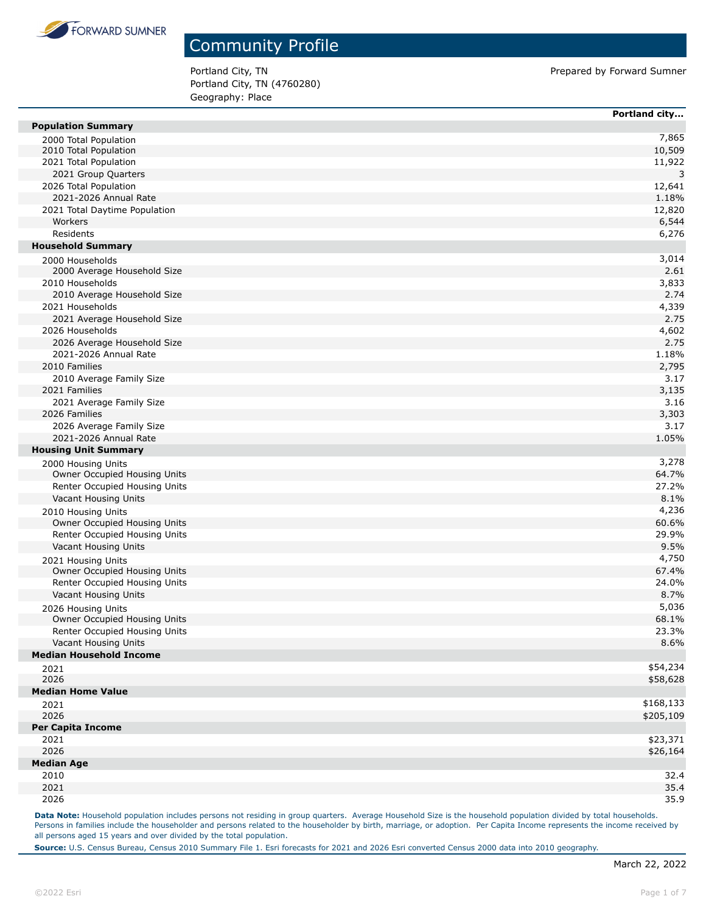

Portland City, TN Prepared by Forward Sumner Portland City, TN (4760280) Geography: Place

|                                | Portland city |
|--------------------------------|---------------|
| <b>Population Summary</b>      |               |
| 2000 Total Population          | 7,865         |
| 2010 Total Population          | 10,509        |
| 2021 Total Population          | 11,922        |
| 2021 Group Quarters            | 3             |
| 2026 Total Population          | 12,641        |
| 2021-2026 Annual Rate          | 1.18%         |
| 2021 Total Daytime Population  | 12,820        |
| Workers                        | 6,544         |
| Residents                      | 6,276         |
| <b>Household Summary</b>       |               |
| 2000 Households                | 3,014         |
| 2000 Average Household Size    | 2.61          |
| 2010 Households                | 3,833         |
| 2010 Average Household Size    | 2.74          |
| 2021 Households                | 4,339         |
| 2021 Average Household Size    | 2.75          |
| 2026 Households                | 4,602         |
| 2026 Average Household Size    | 2.75          |
| 2021-2026 Annual Rate          | 1.18%         |
| 2010 Families                  | 2,795         |
| 2010 Average Family Size       | 3.17          |
| 2021 Families                  | 3,135         |
| 2021 Average Family Size       | 3.16          |
| 2026 Families                  | 3,303         |
| 2026 Average Family Size       | 3.17          |
| 2021-2026 Annual Rate          | 1.05%         |
| <b>Housing Unit Summary</b>    |               |
| 2000 Housing Units             | 3,278         |
| Owner Occupied Housing Units   | 64.7%         |
| Renter Occupied Housing Units  | 27.2%         |
| Vacant Housing Units           | 8.1%          |
| 2010 Housing Units             | 4,236         |
| Owner Occupied Housing Units   | 60.6%         |
| Renter Occupied Housing Units  | 29.9%         |
| Vacant Housing Units           | 9.5%          |
| 2021 Housing Units             | 4,750         |
| Owner Occupied Housing Units   | 67.4%         |
| Renter Occupied Housing Units  | 24.0%         |
| Vacant Housing Units           | 8.7%          |
| 2026 Housing Units             | 5,036         |
| Owner Occupied Housing Units   | 68.1%         |
| Renter Occupied Housing Units  | 23.3%         |
| Vacant Housing Units           | 8.6%          |
| <b>Median Household Income</b> |               |
| 2021                           | \$54,234      |
| 2026                           | \$58,628      |
| <b>Median Home Value</b>       |               |
| 2021                           | \$168,133     |
| 2026                           | \$205,109     |
| <b>Per Capita Income</b>       |               |
| 2021                           | \$23,371      |
| 2026                           | \$26,164      |
| <b>Median Age</b>              |               |
| 2010                           | 32.4          |
| 2021                           | 35.4          |
| 2026                           | 35.9          |

Data Note: Household population includes persons not residing in group quarters. Average Household Size is the household population divided by total households. Persons in families include the householder and persons related to the householder by birth, marriage, or adoption. Per Capita Income represents the income received by all persons aged 15 years and over divided by the total population.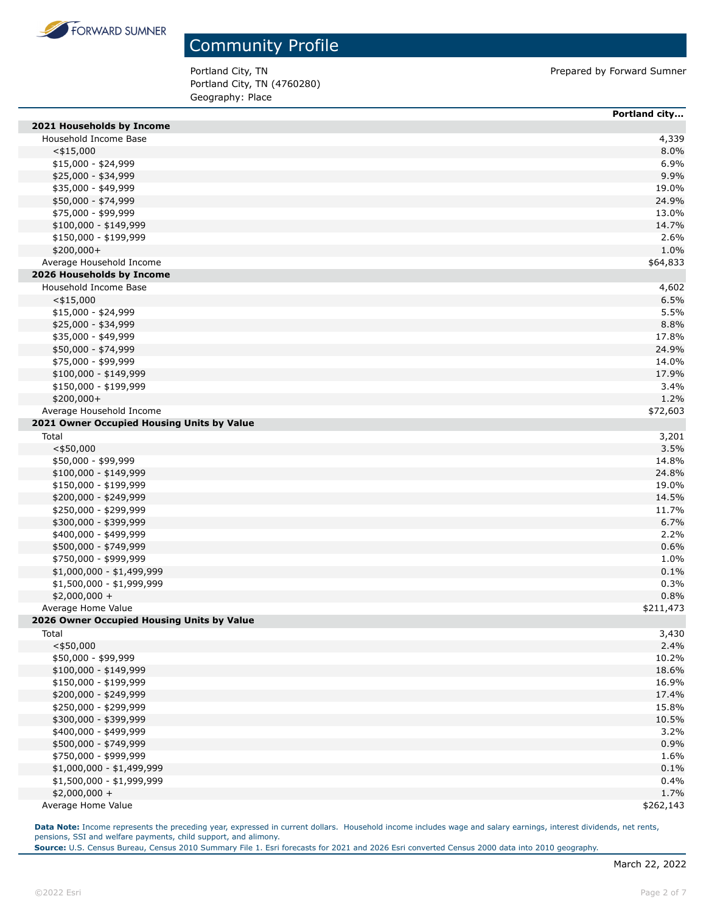

Portland City, TN Prepared by Forward Sumner Portland City, TN (4760280) Geography: Place

|                                            | Portland city |
|--------------------------------------------|---------------|
| 2021 Households by Income                  |               |
| Household Income Base                      | 4,339         |
| $<$ \$15,000                               | 8.0%          |
| \$15,000 - \$24,999                        | 6.9%          |
| \$25,000 - \$34,999                        | 9.9%          |
| \$35,000 - \$49,999                        | 19.0%         |
| \$50,000 - \$74,999                        | 24.9%         |
| \$75,000 - \$99,999                        | 13.0%         |
| $$100,000 - $149,999$                      | 14.7%         |
| \$150,000 - \$199,999                      | 2.6%          |
| \$200,000+                                 | 1.0%          |
| Average Household Income                   | \$64,833      |
| 2026 Households by Income                  |               |
| Household Income Base                      | 4,602         |
| $<$ \$15,000                               | 6.5%          |
| $$15,000 - $24,999$                        | 5.5%          |
| \$25,000 - \$34,999                        | 8.8%          |
| \$35,000 - \$49,999                        | 17.8%         |
| \$50,000 - \$74,999                        | 24.9%         |
| \$75,000 - \$99,999                        | 14.0%         |
| $$100,000 - $149,999$                      | 17.9%         |
| \$150,000 - \$199,999                      | 3.4%          |
| \$200,000+                                 | 1.2%          |
| Average Household Income                   | \$72,603      |
| 2021 Owner Occupied Housing Units by Value |               |
| Total                                      | 3,201         |
| $<$ \$50,000                               | 3.5%          |
| \$50,000 - \$99,999                        | 14.8%         |
| $$100,000 - $149,999$                      | 24.8%         |
| \$150,000 - \$199,999                      | 19.0%         |
| \$200,000 - \$249,999                      | 14.5%         |
| \$250,000 - \$299,999                      | 11.7%         |
| \$300,000 - \$399,999                      | 6.7%          |
| \$400,000 - \$499,999                      | 2.2%          |
| \$500,000 - \$749,999                      | 0.6%          |
| \$750,000 - \$999,999                      | 1.0%          |
| $$1,000,000 - $1,499,999$                  | 0.1%          |
| \$1,500,000 - \$1,999,999                  | 0.3%          |
| $$2,000,000 +$                             | 0.8%          |
| Average Home Value                         | \$211,473     |
| 2026 Owner Occupied Housing Units by Value |               |
| Total                                      | 3,430         |
| $<$ \$50,000                               | 2.4%          |
| \$50,000 - \$99,999                        | 10.2%         |
| \$100,000 - \$149,999                      | 18.6%         |
| \$150,000 - \$199,999                      | 16.9%         |
| \$200,000 - \$249,999                      | 17.4%         |
| \$250,000 - \$299,999                      | 15.8%         |
| \$300,000 - \$399,999                      | 10.5%         |
| \$400,000 - \$499,999                      | 3.2%          |
| \$500,000 - \$749,999                      | 0.9%          |
| \$750,000 - \$999,999                      | 1.6%          |
| \$1,000,000 - \$1,499,999                  | 0.1%          |
| \$1,500,000 - \$1,999,999                  | 0.4%          |
| $$2,000,000 +$                             | 1.7%          |
| Average Home Value                         | \$262,143     |

Data Note: Income represents the preceding year, expressed in current dollars. Household income includes wage and salary earnings, interest dividends, net rents, pensions, SSI and welfare payments, child support, and alimony.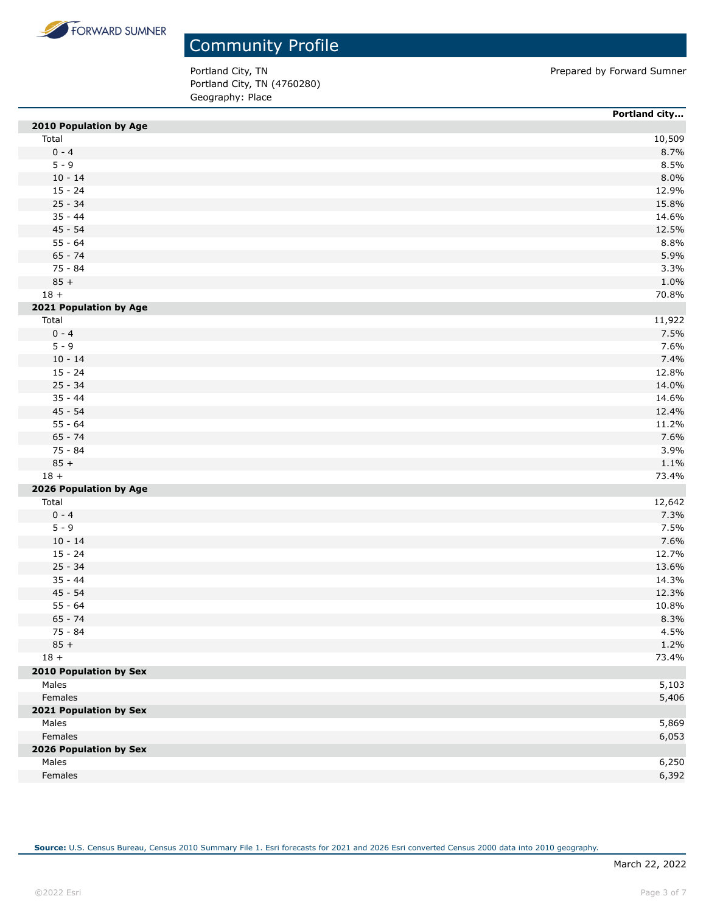

Portland City, TN Prepared by Forward Sumner Portland City, TN (4760280) Geography: Place

|                               | Portland city |
|-------------------------------|---------------|
| 2010 Population by Age        |               |
| Total                         | 10,509        |
| $0 - 4$                       | 8.7%          |
| $5 - 9$                       | 8.5%          |
| $10 - 14$                     | 8.0%          |
| $15 - 24$                     | 12.9%         |
| $25 - 34$                     | 15.8%         |
| $35 - 44$                     | 14.6%         |
| $45 - 54$                     | 12.5%         |
| $55 - 64$                     | 8.8%          |
| $65 - 74$                     | 5.9%          |
| 75 - 84                       | 3.3%          |
| $85 +$                        | 1.0%          |
| $18 +$                        | 70.8%         |
| 2021 Population by Age        |               |
| Total                         | 11,922        |
| $0 - 4$                       | 7.5%          |
| $5 - 9$                       | 7.6%          |
| $10 - 14$                     | 7.4%          |
| $15 - 24$                     | 12.8%         |
| $25 - 34$                     | 14.0%         |
| $35 - 44$                     | 14.6%         |
| $45 - 54$                     | 12.4%         |
| $55 - 64$                     | 11.2%         |
| $65 - 74$                     | 7.6%          |
| 75 - 84                       | 3.9%          |
| $85 +$                        | 1.1%          |
| $18 +$                        | 73.4%         |
| 2026 Population by Age        |               |
| Total                         | 12,642        |
| $0 - 4$                       | 7.3%          |
| $5 - 9$                       | 7.5%          |
| $10 - 14$                     | 7.6%          |
| $15 - 24$                     | 12.7%         |
| $25 - 34$                     | 13.6%         |
| $35 - 44$                     | 14.3%         |
| $45 - 54$                     | 12.3%         |
| $55 - 64$                     | 10.8%         |
| $65 - 74$                     | 8.3%          |
| 75 - 84                       | 4.5%          |
| $85 +$                        | 1.2%          |
| $18 +$                        | 73.4%         |
| <b>2010 Population by Sex</b> |               |
| Males                         | 5,103         |
| Females                       | 5,406         |
| 2021 Population by Sex        |               |
| Males                         | 5,869         |
| Females                       | 6,053         |
| 2026 Population by Sex        |               |
| Males                         | 6,250         |
| Females                       | 6,392         |
|                               |               |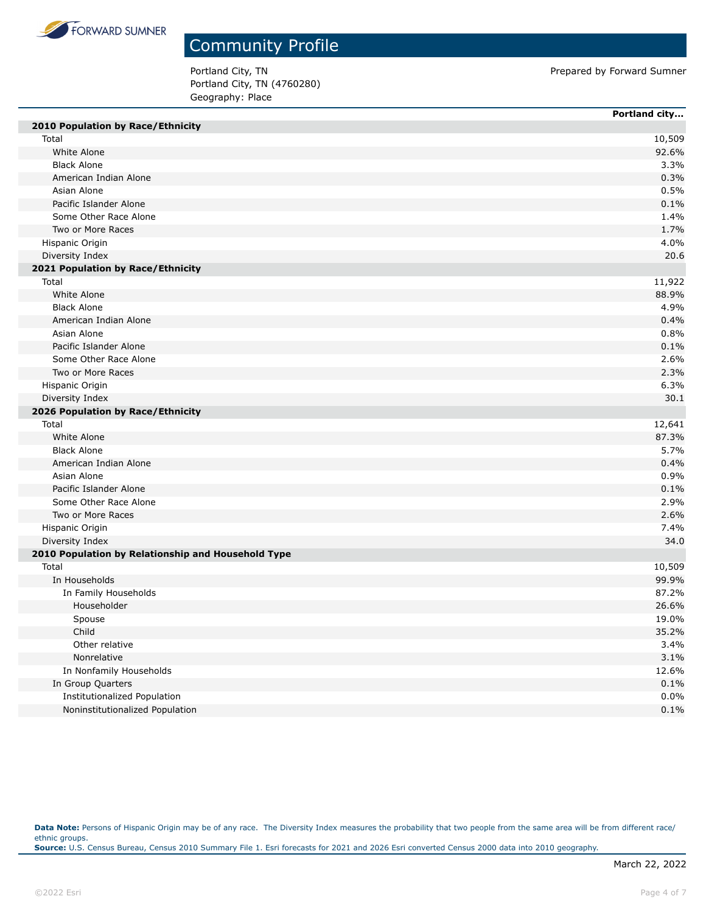

Portland City, TN Prepared by Forward Sumner Portland City, TN (4760280) Geography: Place

| 2010 Population by Race/Ethnicity<br>Total<br>10,509<br>White Alone<br>92.6%<br><b>Black Alone</b><br>3.3%<br>American Indian Alone<br>0.3%<br>Asian Alone<br>0.5%<br>Pacific Islander Alone<br>0.1%<br>Some Other Race Alone<br>1.4%<br>Two or More Races<br>1.7%<br>4.0%<br>Hispanic Origin<br>Diversity Index<br>20.6<br>2021 Population by Race/Ethnicity<br>Total<br>11,922<br>White Alone<br>88.9%<br><b>Black Alone</b><br>4.9%<br>American Indian Alone<br>0.4%<br>Asian Alone<br>0.8%<br>Pacific Islander Alone<br>0.1%<br>Some Other Race Alone<br>2.6%<br>Two or More Races<br>2.3%<br>Hispanic Origin<br>6.3%<br>30.1<br>Diversity Index<br>2026 Population by Race/Ethnicity<br>Total<br>12,641<br>White Alone<br>87.3%<br><b>Black Alone</b><br>5.7%<br>American Indian Alone<br>0.4%<br>0.9%<br>Asian Alone<br>Pacific Islander Alone<br>0.1%<br>2.9%<br>Some Other Race Alone<br>Two or More Races<br>2.6%<br>Hispanic Origin<br>7.4%<br>Diversity Index<br>34.0<br>2010 Population by Relationship and Household Type<br>Total<br>10,509<br>In Households<br>99.9%<br>87.2%<br>In Family Households<br>Householder<br>26.6%<br>19.0%<br>Spouse<br>Child<br>35.2%<br>Other relative<br>3.4%<br>3.1%<br>Nonrelative<br>In Nonfamily Households<br>12.6%<br>0.1%<br>In Group Quarters<br>Institutionalized Population<br>0.0% |                                 | Portland city |
|---------------------------------------------------------------------------------------------------------------------------------------------------------------------------------------------------------------------------------------------------------------------------------------------------------------------------------------------------------------------------------------------------------------------------------------------------------------------------------------------------------------------------------------------------------------------------------------------------------------------------------------------------------------------------------------------------------------------------------------------------------------------------------------------------------------------------------------------------------------------------------------------------------------------------------------------------------------------------------------------------------------------------------------------------------------------------------------------------------------------------------------------------------------------------------------------------------------------------------------------------------------------------------------------------------------------------------------------|---------------------------------|---------------|
|                                                                                                                                                                                                                                                                                                                                                                                                                                                                                                                                                                                                                                                                                                                                                                                                                                                                                                                                                                                                                                                                                                                                                                                                                                                                                                                                             |                                 |               |
|                                                                                                                                                                                                                                                                                                                                                                                                                                                                                                                                                                                                                                                                                                                                                                                                                                                                                                                                                                                                                                                                                                                                                                                                                                                                                                                                             |                                 |               |
|                                                                                                                                                                                                                                                                                                                                                                                                                                                                                                                                                                                                                                                                                                                                                                                                                                                                                                                                                                                                                                                                                                                                                                                                                                                                                                                                             |                                 |               |
|                                                                                                                                                                                                                                                                                                                                                                                                                                                                                                                                                                                                                                                                                                                                                                                                                                                                                                                                                                                                                                                                                                                                                                                                                                                                                                                                             |                                 |               |
|                                                                                                                                                                                                                                                                                                                                                                                                                                                                                                                                                                                                                                                                                                                                                                                                                                                                                                                                                                                                                                                                                                                                                                                                                                                                                                                                             |                                 |               |
|                                                                                                                                                                                                                                                                                                                                                                                                                                                                                                                                                                                                                                                                                                                                                                                                                                                                                                                                                                                                                                                                                                                                                                                                                                                                                                                                             |                                 |               |
|                                                                                                                                                                                                                                                                                                                                                                                                                                                                                                                                                                                                                                                                                                                                                                                                                                                                                                                                                                                                                                                                                                                                                                                                                                                                                                                                             |                                 |               |
|                                                                                                                                                                                                                                                                                                                                                                                                                                                                                                                                                                                                                                                                                                                                                                                                                                                                                                                                                                                                                                                                                                                                                                                                                                                                                                                                             |                                 |               |
|                                                                                                                                                                                                                                                                                                                                                                                                                                                                                                                                                                                                                                                                                                                                                                                                                                                                                                                                                                                                                                                                                                                                                                                                                                                                                                                                             |                                 |               |
|                                                                                                                                                                                                                                                                                                                                                                                                                                                                                                                                                                                                                                                                                                                                                                                                                                                                                                                                                                                                                                                                                                                                                                                                                                                                                                                                             |                                 |               |
|                                                                                                                                                                                                                                                                                                                                                                                                                                                                                                                                                                                                                                                                                                                                                                                                                                                                                                                                                                                                                                                                                                                                                                                                                                                                                                                                             |                                 |               |
|                                                                                                                                                                                                                                                                                                                                                                                                                                                                                                                                                                                                                                                                                                                                                                                                                                                                                                                                                                                                                                                                                                                                                                                                                                                                                                                                             |                                 |               |
|                                                                                                                                                                                                                                                                                                                                                                                                                                                                                                                                                                                                                                                                                                                                                                                                                                                                                                                                                                                                                                                                                                                                                                                                                                                                                                                                             |                                 |               |
|                                                                                                                                                                                                                                                                                                                                                                                                                                                                                                                                                                                                                                                                                                                                                                                                                                                                                                                                                                                                                                                                                                                                                                                                                                                                                                                                             |                                 |               |
|                                                                                                                                                                                                                                                                                                                                                                                                                                                                                                                                                                                                                                                                                                                                                                                                                                                                                                                                                                                                                                                                                                                                                                                                                                                                                                                                             |                                 |               |
|                                                                                                                                                                                                                                                                                                                                                                                                                                                                                                                                                                                                                                                                                                                                                                                                                                                                                                                                                                                                                                                                                                                                                                                                                                                                                                                                             |                                 |               |
|                                                                                                                                                                                                                                                                                                                                                                                                                                                                                                                                                                                                                                                                                                                                                                                                                                                                                                                                                                                                                                                                                                                                                                                                                                                                                                                                             |                                 |               |
|                                                                                                                                                                                                                                                                                                                                                                                                                                                                                                                                                                                                                                                                                                                                                                                                                                                                                                                                                                                                                                                                                                                                                                                                                                                                                                                                             |                                 |               |
|                                                                                                                                                                                                                                                                                                                                                                                                                                                                                                                                                                                                                                                                                                                                                                                                                                                                                                                                                                                                                                                                                                                                                                                                                                                                                                                                             |                                 |               |
|                                                                                                                                                                                                                                                                                                                                                                                                                                                                                                                                                                                                                                                                                                                                                                                                                                                                                                                                                                                                                                                                                                                                                                                                                                                                                                                                             |                                 |               |
|                                                                                                                                                                                                                                                                                                                                                                                                                                                                                                                                                                                                                                                                                                                                                                                                                                                                                                                                                                                                                                                                                                                                                                                                                                                                                                                                             |                                 |               |
|                                                                                                                                                                                                                                                                                                                                                                                                                                                                                                                                                                                                                                                                                                                                                                                                                                                                                                                                                                                                                                                                                                                                                                                                                                                                                                                                             |                                 |               |
|                                                                                                                                                                                                                                                                                                                                                                                                                                                                                                                                                                                                                                                                                                                                                                                                                                                                                                                                                                                                                                                                                                                                                                                                                                                                                                                                             |                                 |               |
|                                                                                                                                                                                                                                                                                                                                                                                                                                                                                                                                                                                                                                                                                                                                                                                                                                                                                                                                                                                                                                                                                                                                                                                                                                                                                                                                             |                                 |               |
|                                                                                                                                                                                                                                                                                                                                                                                                                                                                                                                                                                                                                                                                                                                                                                                                                                                                                                                                                                                                                                                                                                                                                                                                                                                                                                                                             |                                 |               |
|                                                                                                                                                                                                                                                                                                                                                                                                                                                                                                                                                                                                                                                                                                                                                                                                                                                                                                                                                                                                                                                                                                                                                                                                                                                                                                                                             |                                 |               |
|                                                                                                                                                                                                                                                                                                                                                                                                                                                                                                                                                                                                                                                                                                                                                                                                                                                                                                                                                                                                                                                                                                                                                                                                                                                                                                                                             |                                 |               |
|                                                                                                                                                                                                                                                                                                                                                                                                                                                                                                                                                                                                                                                                                                                                                                                                                                                                                                                                                                                                                                                                                                                                                                                                                                                                                                                                             |                                 |               |
|                                                                                                                                                                                                                                                                                                                                                                                                                                                                                                                                                                                                                                                                                                                                                                                                                                                                                                                                                                                                                                                                                                                                                                                                                                                                                                                                             |                                 |               |
|                                                                                                                                                                                                                                                                                                                                                                                                                                                                                                                                                                                                                                                                                                                                                                                                                                                                                                                                                                                                                                                                                                                                                                                                                                                                                                                                             |                                 |               |
|                                                                                                                                                                                                                                                                                                                                                                                                                                                                                                                                                                                                                                                                                                                                                                                                                                                                                                                                                                                                                                                                                                                                                                                                                                                                                                                                             |                                 |               |
|                                                                                                                                                                                                                                                                                                                                                                                                                                                                                                                                                                                                                                                                                                                                                                                                                                                                                                                                                                                                                                                                                                                                                                                                                                                                                                                                             |                                 |               |
|                                                                                                                                                                                                                                                                                                                                                                                                                                                                                                                                                                                                                                                                                                                                                                                                                                                                                                                                                                                                                                                                                                                                                                                                                                                                                                                                             |                                 |               |
|                                                                                                                                                                                                                                                                                                                                                                                                                                                                                                                                                                                                                                                                                                                                                                                                                                                                                                                                                                                                                                                                                                                                                                                                                                                                                                                                             |                                 |               |
|                                                                                                                                                                                                                                                                                                                                                                                                                                                                                                                                                                                                                                                                                                                                                                                                                                                                                                                                                                                                                                                                                                                                                                                                                                                                                                                                             |                                 |               |
|                                                                                                                                                                                                                                                                                                                                                                                                                                                                                                                                                                                                                                                                                                                                                                                                                                                                                                                                                                                                                                                                                                                                                                                                                                                                                                                                             |                                 |               |
|                                                                                                                                                                                                                                                                                                                                                                                                                                                                                                                                                                                                                                                                                                                                                                                                                                                                                                                                                                                                                                                                                                                                                                                                                                                                                                                                             |                                 |               |
|                                                                                                                                                                                                                                                                                                                                                                                                                                                                                                                                                                                                                                                                                                                                                                                                                                                                                                                                                                                                                                                                                                                                                                                                                                                                                                                                             |                                 |               |
|                                                                                                                                                                                                                                                                                                                                                                                                                                                                                                                                                                                                                                                                                                                                                                                                                                                                                                                                                                                                                                                                                                                                                                                                                                                                                                                                             |                                 |               |
|                                                                                                                                                                                                                                                                                                                                                                                                                                                                                                                                                                                                                                                                                                                                                                                                                                                                                                                                                                                                                                                                                                                                                                                                                                                                                                                                             |                                 |               |
|                                                                                                                                                                                                                                                                                                                                                                                                                                                                                                                                                                                                                                                                                                                                                                                                                                                                                                                                                                                                                                                                                                                                                                                                                                                                                                                                             |                                 |               |
|                                                                                                                                                                                                                                                                                                                                                                                                                                                                                                                                                                                                                                                                                                                                                                                                                                                                                                                                                                                                                                                                                                                                                                                                                                                                                                                                             |                                 |               |
|                                                                                                                                                                                                                                                                                                                                                                                                                                                                                                                                                                                                                                                                                                                                                                                                                                                                                                                                                                                                                                                                                                                                                                                                                                                                                                                                             |                                 |               |
|                                                                                                                                                                                                                                                                                                                                                                                                                                                                                                                                                                                                                                                                                                                                                                                                                                                                                                                                                                                                                                                                                                                                                                                                                                                                                                                                             |                                 |               |
|                                                                                                                                                                                                                                                                                                                                                                                                                                                                                                                                                                                                                                                                                                                                                                                                                                                                                                                                                                                                                                                                                                                                                                                                                                                                                                                                             |                                 |               |
|                                                                                                                                                                                                                                                                                                                                                                                                                                                                                                                                                                                                                                                                                                                                                                                                                                                                                                                                                                                                                                                                                                                                                                                                                                                                                                                                             | Noninstitutionalized Population | 0.1%          |

Data Note: Persons of Hispanic Origin may be of any race. The Diversity Index measures the probability that two people from the same area will be from different race/ ethnic groups. **Source:** U.S. Census Bureau, Census 2010 Summary File 1. Esri forecasts for 2021 and 2026 Esri converted Census 2000 data into 2010 geography.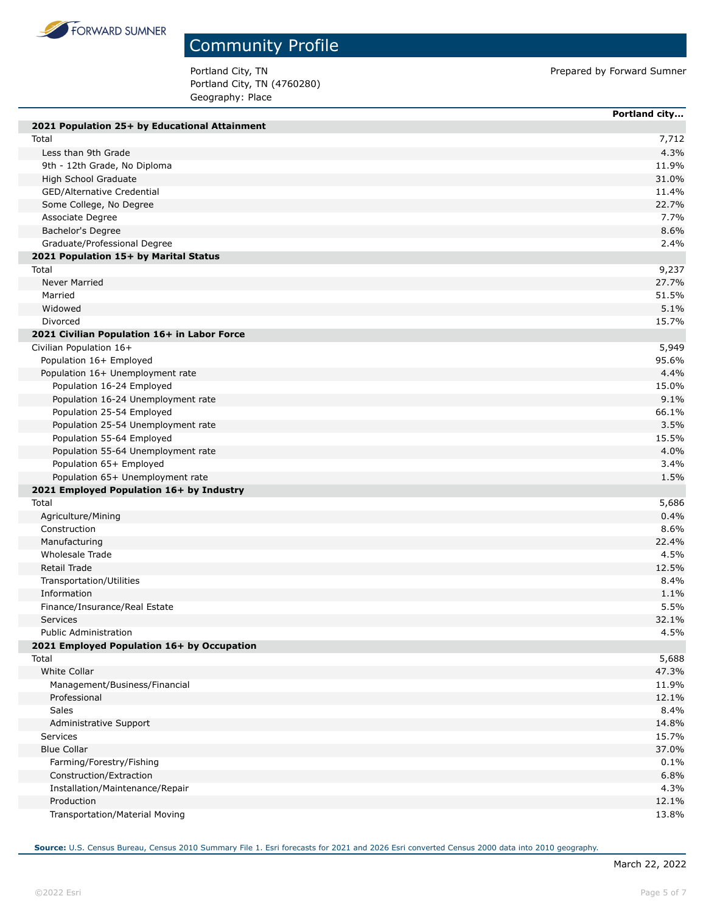

Portland City, TN (4760280) Geography: Place

Portland City, TN Prepared by Forward Sumner

|                                               | Portland city |
|-----------------------------------------------|---------------|
| 2021 Population 25+ by Educational Attainment |               |
| Total                                         | 7,712         |
| Less than 9th Grade                           | 4.3%          |
| 9th - 12th Grade, No Diploma                  | 11.9%         |
| High School Graduate                          | 31.0%         |
| GED/Alternative Credential                    | 11.4%         |
| Some College, No Degree                       | 22.7%         |
| Associate Degree                              | 7.7%          |
| Bachelor's Degree                             | 8.6%          |
| Graduate/Professional Degree                  | 2.4%          |
| 2021 Population 15+ by Marital Status         |               |
| Total                                         | 9,237         |
| Never Married                                 | 27.7%         |
| Married                                       | 51.5%         |
| Widowed                                       | 5.1%          |
| Divorced                                      | 15.7%         |
| 2021 Civilian Population 16+ in Labor Force   |               |
| Civilian Population 16+                       | 5,949         |
| Population 16+ Employed                       | 95.6%         |
| Population 16+ Unemployment rate              | 4.4%          |
| Population 16-24 Employed                     | 15.0%         |
| Population 16-24 Unemployment rate            | 9.1%          |
| Population 25-54 Employed                     | 66.1%         |
| Population 25-54 Unemployment rate            | 3.5%          |
| Population 55-64 Employed                     | 15.5%         |
| Population 55-64 Unemployment rate            | 4.0%          |
| Population 65+ Employed                       | 3.4%          |
| Population 65+ Unemployment rate              | 1.5%          |
| 2021 Employed Population 16+ by Industry      |               |
| Total                                         | 5,686         |
| Agriculture/Mining                            | 0.4%          |
| Construction                                  | 8.6%          |
| Manufacturing                                 | 22.4%         |
| Wholesale Trade                               | 4.5%          |
| Retail Trade                                  | 12.5%         |
| Transportation/Utilities                      | 8.4%          |
| Information                                   | 1.1%          |
| Finance/Insurance/Real Estate                 | 5.5%          |
| <b>Services</b>                               | 32.1%         |
| <b>Public Administration</b>                  | 4.5%          |
| 2021 Employed Population 16+ by Occupation    |               |
| Total                                         | 5,688         |
| White Collar                                  | 47.3%         |
| Management/Business/Financial                 | 11.9%         |
| Professional                                  | 12.1%         |
| Sales                                         | 8.4%          |
| Administrative Support                        | 14.8%         |
| Services                                      | 15.7%         |
| <b>Blue Collar</b>                            | 37.0%         |
|                                               | 0.1%          |
| Farming/Forestry/Fishing                      | 6.8%          |
| Construction/Extraction                       | 4.3%          |
| Installation/Maintenance/Repair<br>Production | 12.1%         |
|                                               |               |
| Transportation/Material Moving                | 13.8%         |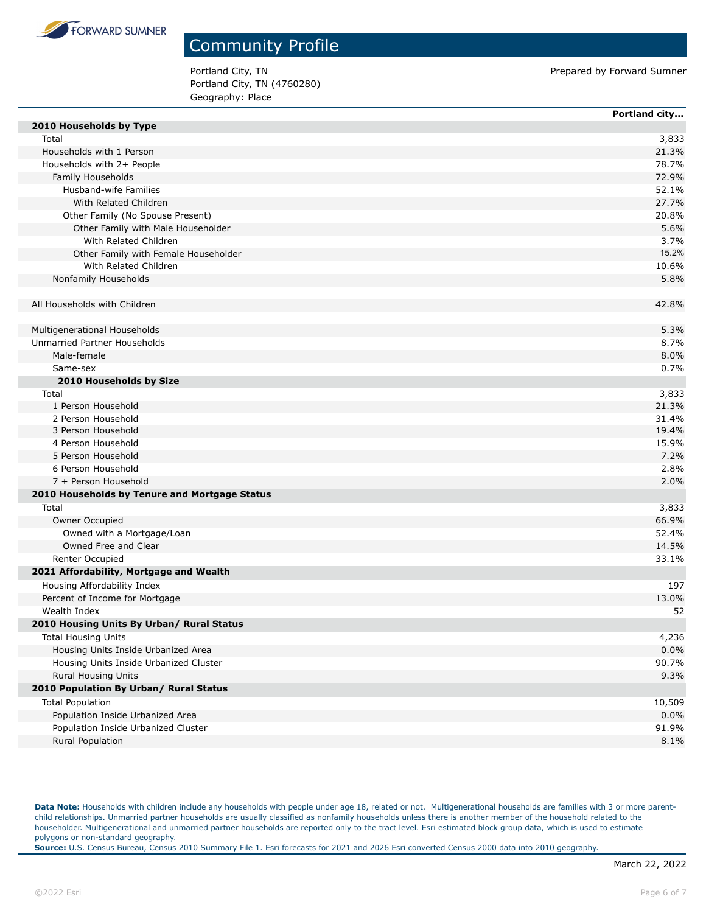

Portland City, TN (4760280) Geography: Place

Portland City, TN Prepared by Forward Sumner

|                                               | Portland city |
|-----------------------------------------------|---------------|
| 2010 Households by Type                       |               |
| Total                                         | 3,833         |
| Households with 1 Person                      | 21.3%         |
| Households with 2+ People                     | 78.7%         |
| Family Households                             | 72.9%         |
| Husband-wife Families                         | 52.1%         |
| With Related Children                         | 27.7%         |
| Other Family (No Spouse Present)              | 20.8%         |
| Other Family with Male Householder            | 5.6%          |
| With Related Children                         | 3.7%          |
| Other Family with Female Householder          | 15.2%         |
| With Related Children                         | 10.6%         |
| Nonfamily Households                          | 5.8%          |
|                                               |               |
| All Households with Children                  | 42.8%         |
|                                               |               |
| Multigenerational Households                  | 5.3%          |
| Unmarried Partner Households                  | 8.7%          |
| Male-female                                   | 8.0%          |
| Same-sex                                      | 0.7%          |
| 2010 Households by Size                       |               |
| Total                                         | 3,833         |
| 1 Person Household                            | 21.3%         |
| 2 Person Household                            | 31.4%         |
| 3 Person Household                            | 19.4%         |
| 4 Person Household                            | 15.9%         |
| 5 Person Household                            | 7.2%          |
| 6 Person Household                            | 2.8%          |
| 7 + Person Household                          | 2.0%          |
| 2010 Households by Tenure and Mortgage Status |               |
| Total                                         | 3,833         |
| Owner Occupied                                | 66.9%         |
| Owned with a Mortgage/Loan                    | 52.4%         |
| Owned Free and Clear                          | 14.5%         |
| Renter Occupied                               | 33.1%         |
| 2021 Affordability, Mortgage and Wealth       |               |
| Housing Affordability Index                   | 197           |
| Percent of Income for Mortgage                | 13.0%         |
| Wealth Index                                  | 52            |
| 2010 Housing Units By Urban/ Rural Status     |               |
| <b>Total Housing Units</b>                    | 4,236         |
| Housing Units Inside Urbanized Area           | 0.0%          |
| Housing Units Inside Urbanized Cluster        | 90.7%         |
| Rural Housing Units                           | 9.3%          |
| 2010 Population By Urban/ Rural Status        |               |
| <b>Total Population</b>                       | 10,509        |
| Population Inside Urbanized Area              | 0.0%          |
| Population Inside Urbanized Cluster           | 91.9%         |
|                                               |               |
| Rural Population                              | 8.1%          |

Data Note: Households with children include any households with people under age 18, related or not. Multigenerational households are families with 3 or more parentchild relationships. Unmarried partner households are usually classified as nonfamily households unless there is another member of the household related to the householder. Multigenerational and unmarried partner households are reported only to the tract level. Esri estimated block group data, which is used to estimate polygons or non-standard geography.